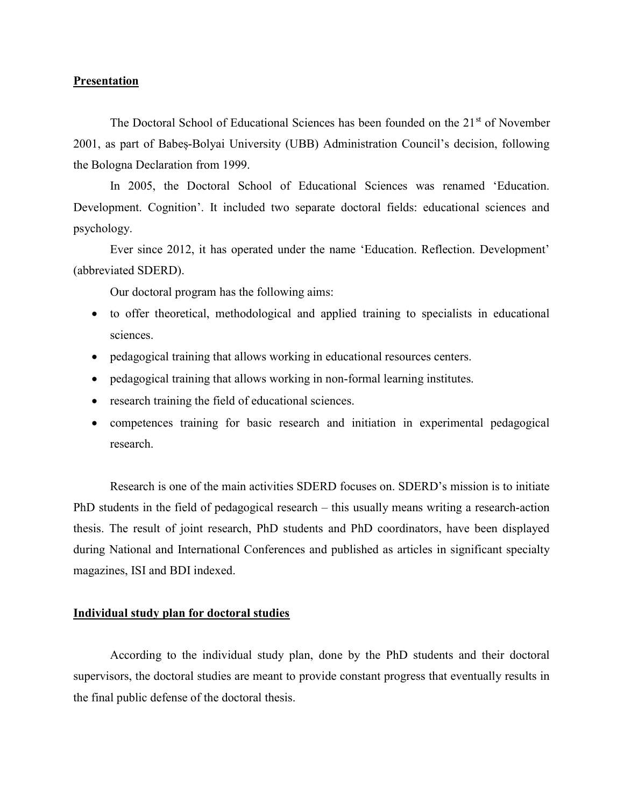## Presentation

The Doctoral School of Educational Sciences has been founded on the 21<sup>st</sup> of November 2001, as part of Babeș-Bolyai University (UBB) Administration Council's decision, following the Bologna Declaration from 1999.

In 2005, the Doctoral School of Educational Sciences was renamed 'Education. Development. Cognition'. It included two separate doctoral fields: educational sciences and psychology.

 Ever since 2012, it has operated under the name 'Education. Reflection. Development' (abbreviated SDERD).

Our doctoral program has the following aims:

- to offer theoretical, methodological and applied training to specialists in educational sciences.
- pedagogical training that allows working in educational resources centers.
- pedagogical training that allows working in non-formal learning institutes.
- research training the field of educational sciences.
- competences training for basic research and initiation in experimental pedagogical research.

Research is one of the main activities SDERD focuses on. SDERD's mission is to initiate PhD students in the field of pedagogical research – this usually means writing a research-action thesis. The result of joint research, PhD students and PhD coordinators, have been displayed during National and International Conferences and published as articles in significant specialty magazines, ISI and BDI indexed.

### Individual study plan for doctoral studies

 According to the individual study plan, done by the PhD students and their doctoral supervisors, the doctoral studies are meant to provide constant progress that eventually results in the final public defense of the doctoral thesis.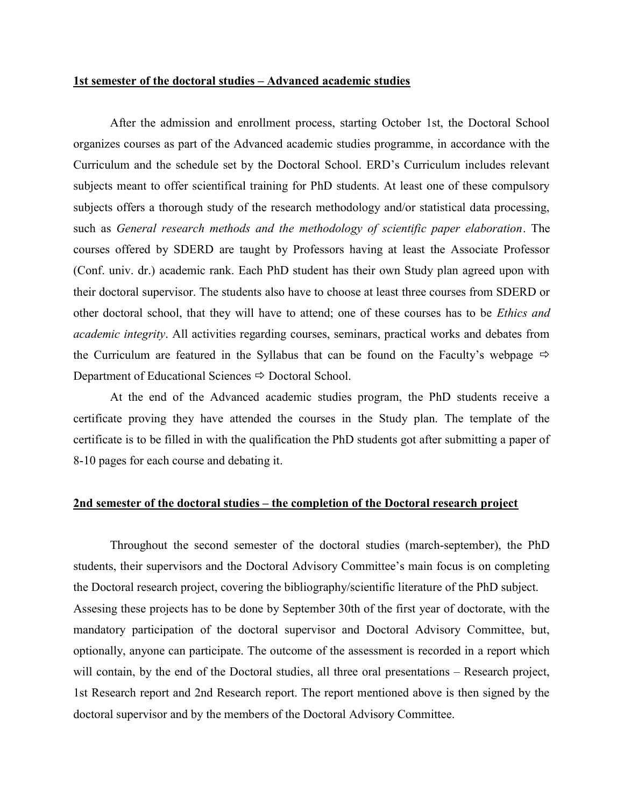#### 1st semester of the doctoral studies – Advanced academic studies

 After the admission and enrollment process, starting October 1st, the Doctoral School organizes courses as part of the Advanced academic studies programme, in accordance with the Curriculum and the schedule set by the Doctoral School. ERD's Curriculum includes relevant subjects meant to offer scientifical training for PhD students. At least one of these compulsory subjects offers a thorough study of the research methodology and/or statistical data processing, such as General research methods and the methodology of scientific paper elaboration. The courses offered by SDERD are taught by Professors having at least the Associate Professor (Conf. univ. dr.) academic rank. Each PhD student has their own Study plan agreed upon with their doctoral supervisor. The students also have to choose at least three courses from SDERD or other doctoral school, that they will have to attend; one of these courses has to be Ethics and academic integrity. All activities regarding courses, seminars, practical works and debates from the Curriculum are featured in the Syllabus that can be found on the Faculty's webpage  $\Rightarrow$ Department of Educational Sciences  $\Rightarrow$  Doctoral School.

 At the end of the Advanced academic studies program, the PhD students receive a certificate proving they have attended the courses in the Study plan. The template of the certificate is to be filled in with the qualification the PhD students got after submitting a paper of 8-10 pages for each course and debating it.

## 2nd semester of the doctoral studies – the completion of the Doctoral research project

 Throughout the second semester of the doctoral studies (march-september), the PhD students, their supervisors and the Doctoral Advisory Committee's main focus is on completing the Doctoral research project, covering the bibliography/scientific literature of the PhD subject. Assesing these projects has to be done by September 30th of the first year of doctorate, with the mandatory participation of the doctoral supervisor and Doctoral Advisory Committee, but, optionally, anyone can participate. The outcome of the assessment is recorded in a report which will contain, by the end of the Doctoral studies, all three oral presentations – Research project, 1st Research report and 2nd Research report. The report mentioned above is then signed by the doctoral supervisor and by the members of the Doctoral Advisory Committee.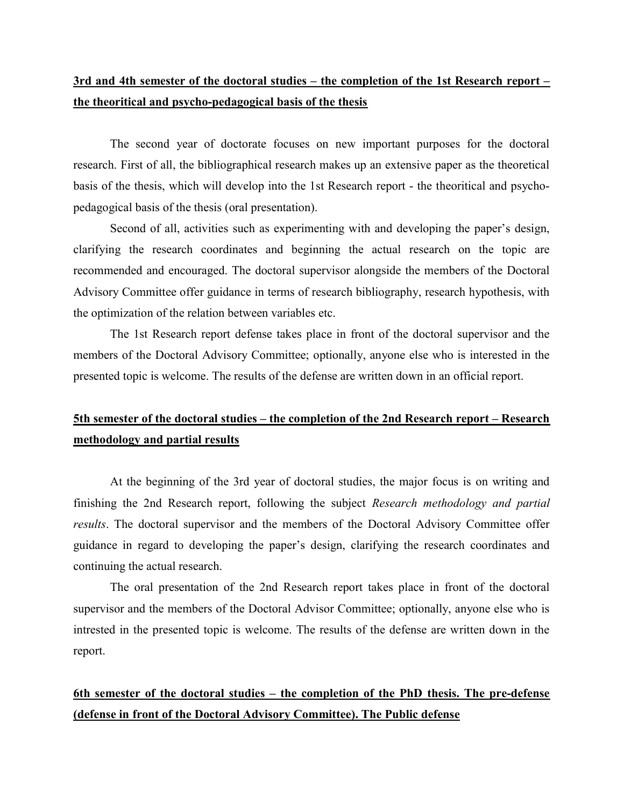## 3rd and 4th semester of the doctoral studies – the completion of the 1st Research report – the theoritical and psycho-pedagogical basis of the thesis

 The second year of doctorate focuses on new important purposes for the doctoral research. First of all, the bibliographical research makes up an extensive paper as the theoretical basis of the thesis, which will develop into the 1st Research report - the theoritical and psychopedagogical basis of the thesis (oral presentation).

 Second of all, activities such as experimenting with and developing the paper's design, clarifying the research coordinates and beginning the actual research on the topic are recommended and encouraged. The doctoral supervisor alongside the members of the Doctoral Advisory Committee offer guidance in terms of research bibliography, research hypothesis, with the optimization of the relation between variables etc.

 The 1st Research report defense takes place in front of the doctoral supervisor and the members of the Doctoral Advisory Committee; optionally, anyone else who is interested in the presented topic is welcome. The results of the defense are written down in an official report.

# 5th semester of the doctoral studies – the completion of the 2nd Research report – Research methodology and partial results

 At the beginning of the 3rd year of doctoral studies, the major focus is on writing and finishing the 2nd Research report, following the subject Research methodology and partial results. The doctoral supervisor and the members of the Doctoral Advisory Committee offer guidance in regard to developing the paper's design, clarifying the research coordinates and continuing the actual research.

 The oral presentation of the 2nd Research report takes place in front of the doctoral supervisor and the members of the Doctoral Advisor Committee; optionally, anyone else who is intrested in the presented topic is welcome. The results of the defense are written down in the report.

# 6th semester of the doctoral studies – the completion of the PhD thesis. The pre-defense (defense in front of the Doctoral Advisory Committee). The Public defense